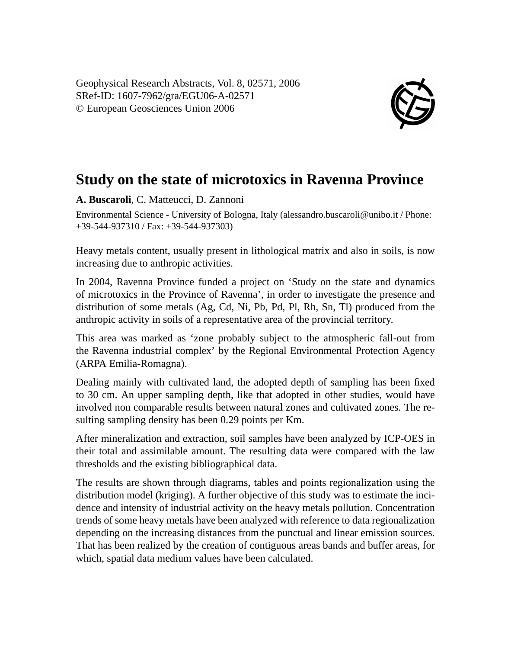Geophysical Research Abstracts, Vol. 8, 02571, 2006 SRef-ID: 1607-7962/gra/EGU06-A-02571 © European Geosciences Union 2006



## **Study on the state of microtoxics in Ravenna Province**

**A. Buscaroli**, C. Matteucci, D. Zannoni

Environmental Science - University of Bologna, Italy (alessandro.buscaroli@unibo.it / Phone: +39-544-937310 / Fax: +39-544-937303)

Heavy metals content, usually present in lithological matrix and also in soils, is now increasing due to anthropic activities.

In 2004, Ravenna Province funded a project on 'Study on the state and dynamics of microtoxics in the Province of Ravenna', in order to investigate the presence and distribution of some metals (Ag, Cd, Ni, Pb, Pd, Pl, Rh, Sn, Tl) produced from the anthropic activity in soils of a representative area of the provincial territory.

This area was marked as 'zone probably subject to the atmospheric fall-out from the Ravenna industrial complex' by the Regional Environmental Protection Agency (ARPA Emilia-Romagna).

Dealing mainly with cultivated land, the adopted depth of sampling has been fixed to 30 cm. An upper sampling depth, like that adopted in other studies, would have involved non comparable results between natural zones and cultivated zones. The resulting sampling density has been 0.29 points per Km.

After mineralization and extraction, soil samples have been analyzed by ICP-OES in their total and assimilable amount. The resulting data were compared with the law thresholds and the existing bibliographical data.

The results are shown through diagrams, tables and points regionalization using the distribution model (kriging). A further objective of this study was to estimate the incidence and intensity of industrial activity on the heavy metals pollution. Concentration trends of some heavy metals have been analyzed with reference to data regionalization depending on the increasing distances from the punctual and linear emission sources. That has been realized by the creation of contiguous areas bands and buffer areas, for which, spatial data medium values have been calculated.